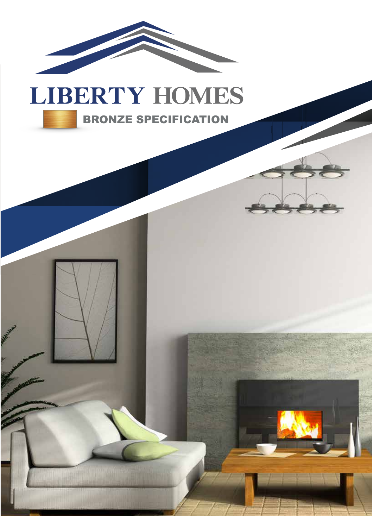

## BRONZE SPECIFICATION

J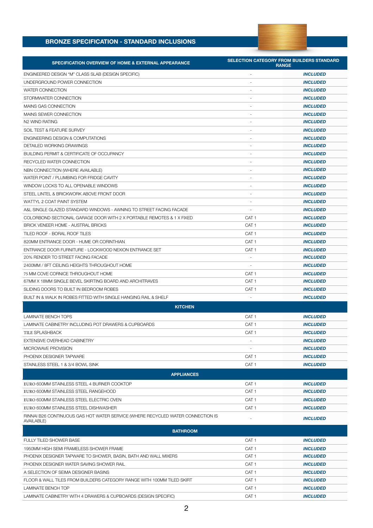## **BRONZE SPECIFICATION - STANDARD INCLUSIONS**

| <b>SPECIFICATION OVERVIEW OF HOME &amp; EXTERNAL APPEARANCE</b>                               | <b>SELECTION CATEGORY FROM BUILDERS STANDARD</b><br><b>RANGE</b> |                 |
|-----------------------------------------------------------------------------------------------|------------------------------------------------------------------|-----------------|
| ENGINEERED DESIGN "M" CLASS SLAB (DESIGN SPECIFIC)                                            |                                                                  | <b>INCLUDED</b> |
| UNDERGROUND POWER CONNECTION                                                                  |                                                                  | <b>INCLUDED</b> |
| <b>WATER CONNECTION</b>                                                                       |                                                                  | <b>INCLUDED</b> |
| STORMWATER CONNECTION                                                                         |                                                                  | <b>INCLUDED</b> |
| MAINS GAS CONNECTION                                                                          |                                                                  | <b>INCLUDED</b> |
| MAINS SEWER CONNECTION                                                                        |                                                                  | <b>INCLUDED</b> |
| N2 WIND RATING                                                                                |                                                                  | <b>INCLUDED</b> |
| SOIL TEST & FEATURE SURVEY                                                                    |                                                                  | <b>INCLUDED</b> |
| ENGINEERING DESIGN & COMPUTATIONS                                                             |                                                                  | <b>INCLUDED</b> |
| DETAILED WORKING DRAWINGS                                                                     |                                                                  | <b>INCLUDED</b> |
| BUILDING PERMIT & CERTIFICATE OF OCCUPANCY                                                    |                                                                  | <b>INCLUDED</b> |
| RECYCLED WATER CONNECTION                                                                     |                                                                  | <b>INCLUDED</b> |
| NBN CONNECTION (WHERE AVAILABLE)                                                              | $\sim$                                                           | <b>INCLUDED</b> |
| WATER POINT / PLUMBING FOR FRIDGE CAVITY                                                      |                                                                  | <b>INCLUDED</b> |
| WINDOW LOCKS TO ALL OPENABLE WINDOWS                                                          |                                                                  | <b>INCLUDED</b> |
| STEEL LINTEL & BRICKWORK ABOVE FRONT DOOR                                                     | $\sim$                                                           | <b>INCLUDED</b> |
| WATTYL 2 COAT PAINT SYSTEM                                                                    | $\sim$                                                           | <b>INCLUDED</b> |
| A&L SINGLE GLAZED STANDARD WINDOWS - AWNING TO STREET FACING FACADE                           | ÷.                                                               | <b>INCLUDED</b> |
| COLORBOND SECTIONAL GARAGE DOOR WITH 2 X PORTABLE REMOTES & 1 X FIXED                         | CAT <sub>1</sub>                                                 | <b>INCLUDED</b> |
| BRICK VENEER HOME - AUSTRAL BRICKS                                                            | CAT <sub>1</sub>                                                 | <b>INCLUDED</b> |
| TILED ROOF - BORAL ROOF TILES                                                                 | CAT <sub>1</sub>                                                 | <b>INCLUDED</b> |
| 820MM ENTRANCE DOOR - HUME OR CORINTHIAN                                                      | CAT <sub>1</sub>                                                 | <b>INCLUDED</b> |
| ENTRANCE DOOR FURNITURE - LOCKWOOD NEXION ENTRANCE SET                                        | CAT <sub>1</sub>                                                 | <b>INCLUDED</b> |
| 20% RENDER TO STREET FACING FACADE                                                            |                                                                  | <b>INCLUDED</b> |
| 2400MM / 8FT CEILING HEIGHTS THROUGHOUT HOME                                                  | $\sim$                                                           | <b>INCLUDED</b> |
| 75 MM COVE CORNICE THROUGHOUT HOME                                                            | CAT <sub>1</sub>                                                 | <b>INCLUDED</b> |
| 67MM X 18MM SINGLE BEVEL SKIRTING BOARD AND ARCHITRAVES                                       | CAT <sub>1</sub>                                                 | <b>INCLUDED</b> |
| SLIDING DOORS TO BUILT IN BEDROOM ROBES                                                       | CAT <sub>1</sub>                                                 | <b>INCLUDED</b> |
| BUILT IN & WALK IN ROBES FITTED WITH SINGLE HANGING RAIL & SHELF                              | $\overline{\phantom{a}}$                                         | <b>INCLUDED</b> |
| <b>KITCHEN</b>                                                                                |                                                                  |                 |
| LAMINATE BENCH TOPS                                                                           | CAT <sub>1</sub>                                                 | <b>INCLUDED</b> |
| LAMINATE CABINETRY INCLUDING POT DRAWERS & CUPBOARDS                                          | CAT <sub>1</sub>                                                 | <b>INCLUDED</b> |
| TILE SPLASHBACK                                                                               | CAT <sub>1</sub>                                                 | <b>INCLUDED</b> |
| EXTENSIVE OVERHEAD CABINETRY                                                                  |                                                                  | <b>INCLUDED</b> |
| MICROWAVE PROVISION                                                                           |                                                                  | <b>INCLUDED</b> |
| PHOENIX DESIGNER TAPWARE                                                                      | CAT <sub>1</sub>                                                 | <b>INCLUDED</b> |
| STAINLESS STEEL 1 & 3/4 BOWL SINK                                                             | CAT <sub>1</sub>                                                 | <b>INCLUDED</b> |
| <b>APPLIANCES</b>                                                                             |                                                                  |                 |
| EURO 600MM STAINLESS STEEL 4 BURNER COOKTOP                                                   | CAT <sub>1</sub>                                                 | <b>INCLUDED</b> |
| EURO 600MM STAINLESS STEEL RANGEHOOD                                                          | CAT <sub>1</sub>                                                 | <b>INCLUDED</b> |
| EURO 600MM STAINLESS STEEL ELECTRIC OVEN                                                      | CAT <sub>1</sub>                                                 | <b>INCLUDED</b> |
| EURO 600MM STAINLESS STEEL DISHWASHER                                                         | CAT <sub>1</sub>                                                 | <b>INCLUDED</b> |
| RINNAI B26 CONTINUOUS GAS HOT WATER SERVICE (WHERE RECYCLED WATER CONNECTION IS<br>AVAILABLE) | $\overline{\phantom{a}}$                                         | <b>INCLUDED</b> |
| <b>BATHROOM</b>                                                                               |                                                                  |                 |
| FULLY TILED SHOWER BASE                                                                       | CAT <sub>1</sub>                                                 | <b>INCLUDED</b> |
| 1950MM HIGH SEMI FRAMELESS SHOWER FRAME                                                       | CAT <sub>1</sub>                                                 | <b>INCLUDED</b> |
| PHOENIX DESIGNER TAPWARE TO SHOWER, BASIN, BATH AND WALL MIXERS                               | CAT <sub>1</sub>                                                 | <b>INCLUDED</b> |
| PHOENIX DESIGNER WATER SAVING SHOWER RAIL                                                     | CAT <sub>1</sub>                                                 | <b>INCLUDED</b> |
| A SELECTION OF SEIMA DESIGNER BASINS                                                          | CAT <sub>1</sub>                                                 | <b>INCLUDED</b> |
| FLOOR & WALL TILES FROM BUILDERS CATEGORY RANGE WITH 100MM TILED SKIRT                        | CAT <sub>1</sub>                                                 | <b>INCLUDED</b> |
| LAMINATE BENCH TOP                                                                            | CAT <sub>1</sub>                                                 | <b>INCLUDED</b> |

LAMINATE CABINETRY WITH 4 DRAWERS & CUPBOARDS (DESIGN SPECIFIC) **CAT 1** CAT 1 **INCLUDED**